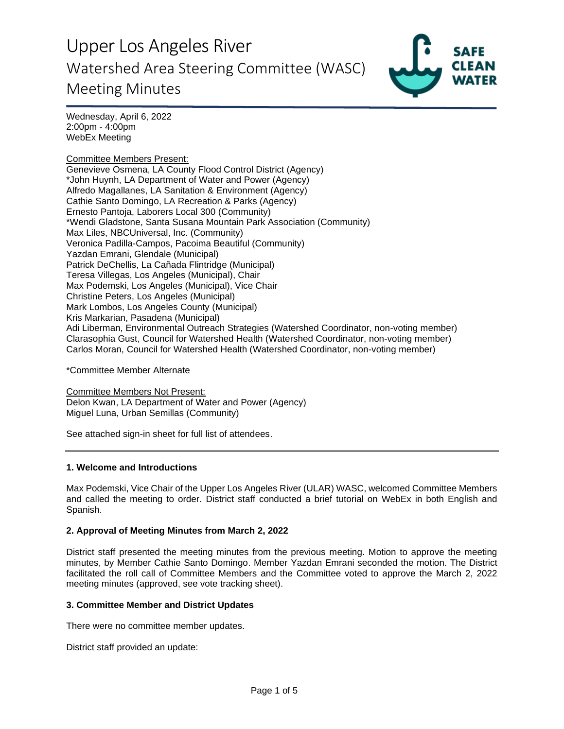

Wednesday, April 6, 2022 2:00pm - 4:00pm WebEx Meeting

Committee Members Present: Genevieve Osmena, LA County Flood Control District (Agency) \*John Huynh, LA Department of Water and Power (Agency) Alfredo Magallanes, LA Sanitation & Environment (Agency) Cathie Santo Domingo, LA Recreation & Parks (Agency) Ernesto Pantoja, Laborers Local 300 (Community) \*Wendi Gladstone, Santa Susana Mountain Park Association (Community) Max Liles, NBCUniversal, Inc. (Community) Veronica Padilla-Campos, Pacoima Beautiful (Community) Yazdan Emrani, Glendale (Municipal) Patrick DeChellis, La Cañada Flintridge (Municipal) Teresa Villegas, Los Angeles (Municipal), Chair Max Podemski, Los Angeles (Municipal), Vice Chair Christine Peters, Los Angeles (Municipal) Mark Lombos, Los Angeles County (Municipal) Kris Markarian, Pasadena (Municipal) Adi Liberman, Environmental Outreach Strategies (Watershed Coordinator, non-voting member) Clarasophia Gust, Council for Watershed Health (Watershed Coordinator, non-voting member) Carlos Moran, Council for Watershed Health (Watershed Coordinator, non-voting member)

\*Committee Member Alternate

Committee Members Not Present: Delon Kwan, LA Department of Water and Power (Agency) Miguel Luna, Urban Semillas (Community)

See attached sign-in sheet for full list of attendees.

#### **1. Welcome and Introductions**

Max Podemski, Vice Chair of the Upper Los Angeles River (ULAR) WASC, welcomed Committee Members and called the meeting to order. District staff conducted a brief tutorial on WebEx in both English and Spanish.

### **2. Approval of Meeting Minutes from March 2, 2022**

District staff presented the meeting minutes from the previous meeting. Motion to approve the meeting minutes, by Member Cathie Santo Domingo. Member Yazdan Emrani seconded the motion. The District facilitated the roll call of Committee Members and the Committee voted to approve the March 2, 2022 meeting minutes (approved, see vote tracking sheet).

#### **3. Committee Member and District Updates**

There were no committee member updates.

District staff provided an update: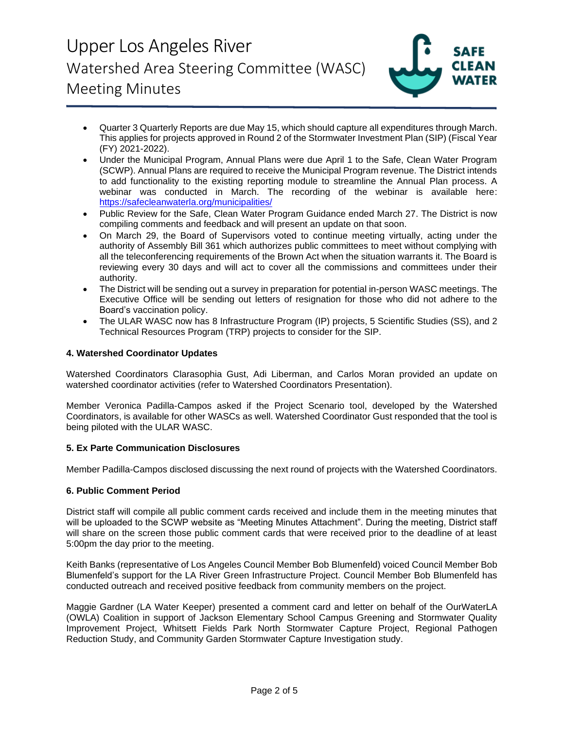

- Quarter 3 Quarterly Reports are due May 15, which should capture all expenditures through March. This applies for projects approved in Round 2 of the Stormwater Investment Plan (SIP) (Fiscal Year (FY) 2021-2022).
- Under the Municipal Program, Annual Plans were due April 1 to the Safe, Clean Water Program (SCWP). Annual Plans are required to receive the Municipal Program revenue. The District intends to add functionality to the existing reporting module to streamline the Annual Plan process. A webinar was conducted in March. The recording of the webinar is available here: <https://safecleanwaterla.org/municipalities/>
- Public Review for the Safe, Clean Water Program Guidance ended March 27. The District is now compiling comments and feedback and will present an update on that soon.
- On March 29, the Board of Supervisors voted to continue meeting virtually, acting under the authority of Assembly Bill 361 which authorizes public committees to meet without complying with all the teleconferencing requirements of the Brown Act when the situation warrants it. The Board is reviewing every 30 days and will act to cover all the commissions and committees under their authority.
- The District will be sending out a survey in preparation for potential in-person WASC meetings. The Executive Office will be sending out letters of resignation for those who did not adhere to the Board's vaccination policy.
- The ULAR WASC now has 8 Infrastructure Program (IP) projects, 5 Scientific Studies (SS), and 2 Technical Resources Program (TRP) projects to consider for the SIP.

### **4. Watershed Coordinator Updates**

Watershed Coordinators Clarasophia Gust, Adi Liberman, and Carlos Moran provided an update on watershed coordinator activities (refer to Watershed Coordinators Presentation).

Member Veronica Padilla-Campos asked if the Project Scenario tool, developed by the Watershed Coordinators, is available for other WASCs as well. Watershed Coordinator Gust responded that the tool is being piloted with the ULAR WASC.

#### **5. Ex Parte Communication Disclosures**

Member Padilla-Campos disclosed discussing the next round of projects with the Watershed Coordinators.

#### **6. Public Comment Period**

District staff will compile all public comment cards received and include them in the meeting minutes that will be uploaded to the SCWP website as "Meeting Minutes Attachment". During the meeting, District staff will share on the screen those public comment cards that were received prior to the deadline of at least 5:00pm the day prior to the meeting.

Keith Banks (representative of Los Angeles Council Member Bob Blumenfeld) voiced Council Member Bob Blumenfeld's support for the LA River Green Infrastructure Project. Council Member Bob Blumenfeld has conducted outreach and received positive feedback from community members on the project.

Maggie Gardner (LA Water Keeper) presented a comment card and letter on behalf of the OurWaterLA (OWLA) Coalition in support of Jackson Elementary School Campus Greening and Stormwater Quality Improvement Project, Whitsett Fields Park North Stormwater Capture Project, Regional Pathogen Reduction Study, and Community Garden Stormwater Capture Investigation study.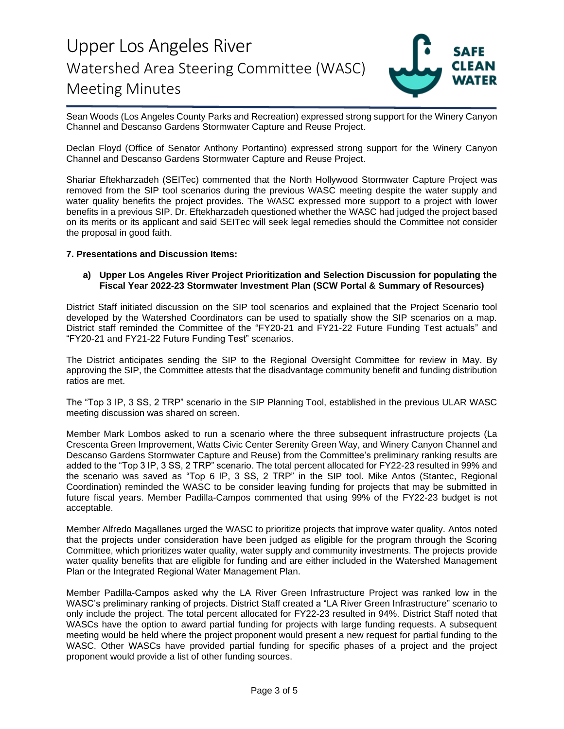

Sean Woods (Los Angeles County Parks and Recreation) expressed strong support for the Winery Canyon Channel and Descanso Gardens Stormwater Capture and Reuse Project.

Declan Floyd (Office of Senator Anthony Portantino) expressed strong support for the Winery Canyon Channel and Descanso Gardens Stormwater Capture and Reuse Project.

Shariar Eftekharzadeh (SEITec) commented that the North Hollywood Stormwater Capture Project was removed from the SIP tool scenarios during the previous WASC meeting despite the water supply and water quality benefits the project provides. The WASC expressed more support to a project with lower benefits in a previous SIP. Dr. Eftekharzadeh questioned whether the WASC had judged the project based on its merits or its applicant and said SEITec will seek legal remedies should the Committee not consider the proposal in good faith.

#### **7. Presentations and Discussion Items:**

#### **a) Upper Los Angeles River Project Prioritization and Selection Discussion for populating the Fiscal Year 2022-23 Stormwater Investment Plan (SCW Portal & Summary of Resources)**

District Staff initiated discussion on the SIP tool scenarios and explained that the Project Scenario tool developed by the Watershed Coordinators can be used to spatially show the SIP scenarios on a map. District staff reminded the Committee of the "FY20-21 and FY21-22 Future Funding Test actuals" and "FY20-21 and FY21-22 Future Funding Test" scenarios.

The District anticipates sending the SIP to the Regional Oversight Committee for review in May. By approving the SIP, the Committee attests that the disadvantage community benefit and funding distribution ratios are met.

The "Top 3 IP, 3 SS, 2 TRP" scenario in the SIP Planning Tool, established in the previous ULAR WASC meeting discussion was shared on screen.

Member Mark Lombos asked to run a scenario where the three subsequent infrastructure projects (La Crescenta Green Improvement, Watts Civic Center Serenity Green Way, and Winery Canyon Channel and Descanso Gardens Stormwater Capture and Reuse) from the Committee's preliminary ranking results are added to the "Top 3 IP, 3 SS, 2 TRP" scenario. The total percent allocated for FY22-23 resulted in 99% and the scenario was saved as "Top 6 IP, 3 SS, 2 TRP" in the SIP tool. Mike Antos (Stantec, Regional Coordination) reminded the WASC to be consider leaving funding for projects that may be submitted in future fiscal years. Member Padilla-Campos commented that using 99% of the FY22-23 budget is not acceptable.

Member Alfredo Magallanes urged the WASC to prioritize projects that improve water quality. Antos noted that the projects under consideration have been judged as eligible for the program through the Scoring Committee, which prioritizes water quality, water supply and community investments. The projects provide water quality benefits that are eligible for funding and are either included in the Watershed Management Plan or the Integrated Regional Water Management Plan.

Member Padilla-Campos asked why the LA River Green Infrastructure Project was ranked low in the WASC's preliminary ranking of projects. District Staff created a "LA River Green Infrastructure" scenario to only include the project. The total percent allocated for FY22-23 resulted in 94%. District Staff noted that WASCs have the option to award partial funding for projects with large funding requests. A subsequent meeting would be held where the project proponent would present a new request for partial funding to the WASC. Other WASCs have provided partial funding for specific phases of a project and the project proponent would provide a list of other funding sources.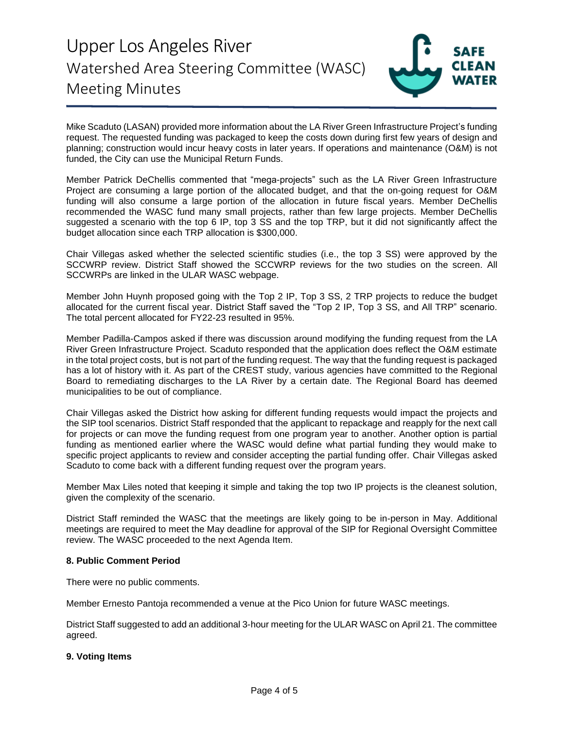

Mike Scaduto (LASAN) provided more information about the LA River Green Infrastructure Project's funding request. The requested funding was packaged to keep the costs down during first few years of design and planning; construction would incur heavy costs in later years. If operations and maintenance (O&M) is not funded, the City can use the Municipal Return Funds.

Member Patrick DeChellis commented that "mega-projects" such as the LA River Green Infrastructure Project are consuming a large portion of the allocated budget, and that the on-going request for O&M funding will also consume a large portion of the allocation in future fiscal years. Member DeChellis recommended the WASC fund many small projects, rather than few large projects. Member DeChellis suggested a scenario with the top 6 IP, top 3 SS and the top TRP, but it did not significantly affect the budget allocation since each TRP allocation is \$300,000.

Chair Villegas asked whether the selected scientific studies (i.e., the top 3 SS) were approved by the SCCWRP review. District Staff showed the SCCWRP reviews for the two studies on the screen. All SCCWRPs are linked in the ULAR WASC webpage.

Member John Huynh proposed going with the Top 2 IP, Top 3 SS, 2 TRP projects to reduce the budget allocated for the current fiscal year. District Staff saved the "Top 2 IP, Top 3 SS, and All TRP" scenario. The total percent allocated for FY22-23 resulted in 95%.

Member Padilla-Campos asked if there was discussion around modifying the funding request from the LA River Green Infrastructure Project. Scaduto responded that the application does reflect the O&M estimate in the total project costs, but is not part of the funding request. The way that the funding request is packaged has a lot of history with it. As part of the CREST study, various agencies have committed to the Regional Board to remediating discharges to the LA River by a certain date. The Regional Board has deemed municipalities to be out of compliance.

Chair Villegas asked the District how asking for different funding requests would impact the projects and the SIP tool scenarios. District Staff responded that the applicant to repackage and reapply for the next call for projects or can move the funding request from one program year to another. Another option is partial funding as mentioned earlier where the WASC would define what partial funding they would make to specific project applicants to review and consider accepting the partial funding offer. Chair Villegas asked Scaduto to come back with a different funding request over the program years.

Member Max Liles noted that keeping it simple and taking the top two IP projects is the cleanest solution, given the complexity of the scenario.

District Staff reminded the WASC that the meetings are likely going to be in-person in May. Additional meetings are required to meet the May deadline for approval of the SIP for Regional Oversight Committee review. The WASC proceeded to the next Agenda Item.

#### **8. Public Comment Period**

There were no public comments.

Member Ernesto Pantoja recommended a venue at the Pico Union for future WASC meetings.

District Staff suggested to add an additional 3-hour meeting for the ULAR WASC on April 21. The committee agreed.

#### **9. Voting Items**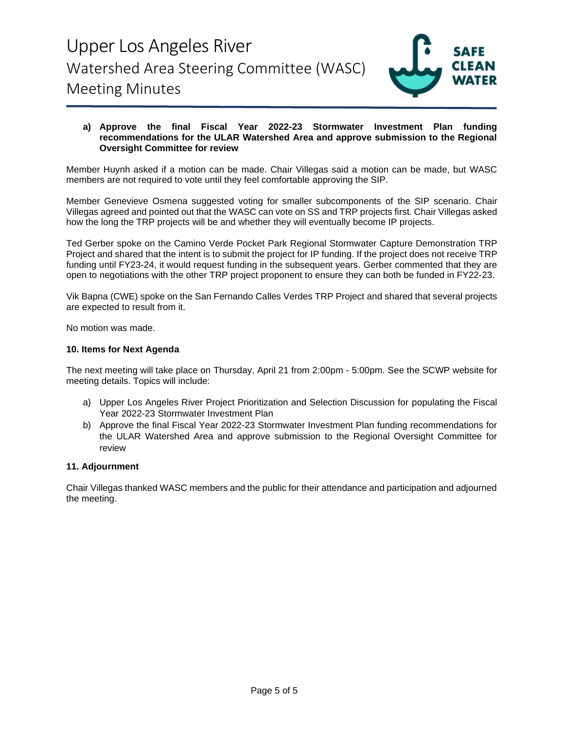

#### **a) Approve the final Fiscal Year 2022-23 Stormwater Investment Plan funding recommendations for the ULAR Watershed Area and approve submission to the Regional Oversight Committee for review**

Member Huynh asked if a motion can be made. Chair Villegas said a motion can be made, but WASC members are not required to vote until they feel comfortable approving the SIP.

Member Genevieve Osmena suggested voting for smaller subcomponents of the SIP scenario. Chair Villegas agreed and pointed out that the WASC can vote on SS and TRP projects first. Chair Villegas asked how the long the TRP projects will be and whether they will eventually become IP projects.

Ted Gerber spoke on the Camino Verde Pocket Park Regional Stormwater Capture Demonstration TRP Project and shared that the intent is to submit the project for IP funding. If the project does not receive TRP funding until FY23-24, it would request funding in the subsequent years. Gerber commented that they are open to negotiations with the other TRP project proponent to ensure they can both be funded in FY22-23.

Vik Bapna (CWE) spoke on the San Fernando Calles Verdes TRP Project and shared that several projects are expected to result from it.

No motion was made.

#### **10. Items for Next Agenda**

The next meeting will take place on Thursday, April 21 from 2:00pm - 5:00pm. See the SCWP website for meeting details. Topics will include:

- a) Upper Los Angeles River Project Prioritization and Selection Discussion for populating the Fiscal Year 2022-23 Stormwater Investment Plan
- b) Approve the final Fiscal Year 2022-23 Stormwater Investment Plan funding recommendations for the ULAR Watershed Area and approve submission to the Regional Oversight Committee for review

#### **11. Adjournment**

Chair Villegas thanked WASC members and the public for their attendance and participation and adjourned the meeting.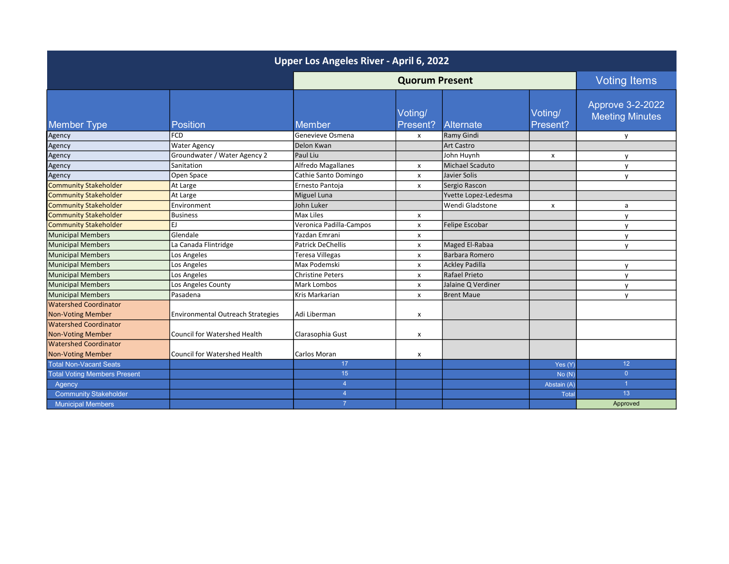| Upper Los Angeles River - April 6, 2022 |                                          |                         |                           |                      |                     |                                            |  |  |
|-----------------------------------------|------------------------------------------|-------------------------|---------------------------|----------------------|---------------------|--------------------------------------------|--|--|
|                                         |                                          | <b>Quorum Present</b>   |                           |                      | <b>Voting Items</b> |                                            |  |  |
| <b>Member Type</b>                      | <b>Position</b>                          | <b>Member</b>           | Voting/<br>Present?       | Alternate            | Voting/<br>Present? | Approve 3-2-2022<br><b>Meeting Minutes</b> |  |  |
| Agency                                  | <b>FCD</b>                               | l Genevieve Osmena      | x                         | Ramy Gindi           |                     | y                                          |  |  |
| Agency                                  | <b>Water Agency</b>                      | Delon Kwan              |                           | <b>Art Castro</b>    |                     |                                            |  |  |
| Agency                                  | Groundwater / Water Agency 2             | Paul Liu                |                           | John Huynh           | x                   | V                                          |  |  |
| Agency                                  | Sanitation                               | Alfredo Magallanes      | x                         | Michael Scaduto      |                     | $\mathsf{v}$                               |  |  |
| Agency                                  | Open Space                               | Cathie Santo Domingo    | $\boldsymbol{\mathsf{x}}$ | Javier Solis         |                     | y                                          |  |  |
| <b>Community Stakeholder</b>            | At Large                                 | Ernesto Pantoja         | x                         | Sergio Rascon        |                     |                                            |  |  |
| <b>Community Stakeholder</b>            | At Large                                 | Miguel Luna             |                           | Yvette Lopez-Ledesma |                     |                                            |  |  |
| <b>Community Stakeholder</b>            | Environment                              | John Luker              |                           | Wendi Gladstone      | x                   | a                                          |  |  |
| <b>Community Stakeholder</b>            | <b>Business</b>                          | Max Liles               | $\pmb{\mathsf{X}}$        |                      |                     | y                                          |  |  |
| Community Stakeholder                   | EJ.                                      | Veronica Padilla-Campos | X                         | Felipe Escobar       |                     | V                                          |  |  |
| Municipal Members                       | Glendale                                 | Yazdan Emrani           | x                         |                      |                     | $\mathsf{v}$                               |  |  |
| Municipal Members                       | La Canada Flintridge                     | Patrick DeChellis       | x                         | Maged El-Rabaa       |                     | $\mathsf{v}$                               |  |  |
| Municipal Members                       | Los Angeles                              | <b>Teresa Villegas</b>  | x                         | Barbara Romero       |                     |                                            |  |  |
| Municipal Members                       | Los Angeles                              | Max Podemski            | x                         | Ackley Padilla       |                     | $\mathsf{v}$                               |  |  |
| Municipal Members                       | Los Angeles                              | <b>Christine Peters</b> | X                         | Rafael Prieto        |                     | $\mathsf{v}$                               |  |  |
| Municipal Members                       | Los Angeles County                       | Mark Lombos             | X                         | Jalaine Q Verdiner   |                     | y                                          |  |  |
| Municipal Members                       | Pasadena                                 | Kris Markarian          | X                         | Brent Maue           |                     | $\mathsf{v}$                               |  |  |
| <b>Watershed Coordinator</b>            |                                          |                         |                           |                      |                     |                                            |  |  |
| Non-Voting Member                       | <b>Environmental Outreach Strategies</b> | Adi Liberman            | X                         |                      |                     |                                            |  |  |
| <b>Watershed Coordinator</b>            |                                          |                         |                           |                      |                     |                                            |  |  |
| <b>Non-Voting Member</b>                | <b>Council for Watershed Health</b>      | Clarasophia Gust        | X                         |                      |                     |                                            |  |  |
| <b>Watershed Coordinator</b>            |                                          |                         |                           |                      |                     |                                            |  |  |
| <b>Non-Voting Member</b>                | <b>Council for Watershed Health</b>      | <b>Carlos Moran</b>     | X                         |                      |                     |                                            |  |  |
| <b>Total Non-Vacant Seats</b>           |                                          | 17                      |                           |                      | Yes (Y)             | 12 <sup>°</sup>                            |  |  |
| <b>Total Voting Members Present</b>     |                                          | 15                      |                           |                      | No(N)               | $\Omega$                                   |  |  |
| Agency                                  |                                          | $\overline{4}$          |                           |                      | Abstain (A)         |                                            |  |  |
| <b>Community Stakeholder</b>            |                                          | $\overline{4}$          |                           |                      | Total               | 13                                         |  |  |
| <b>Municipal Members</b>                |                                          |                         |                           |                      |                     | Approved                                   |  |  |